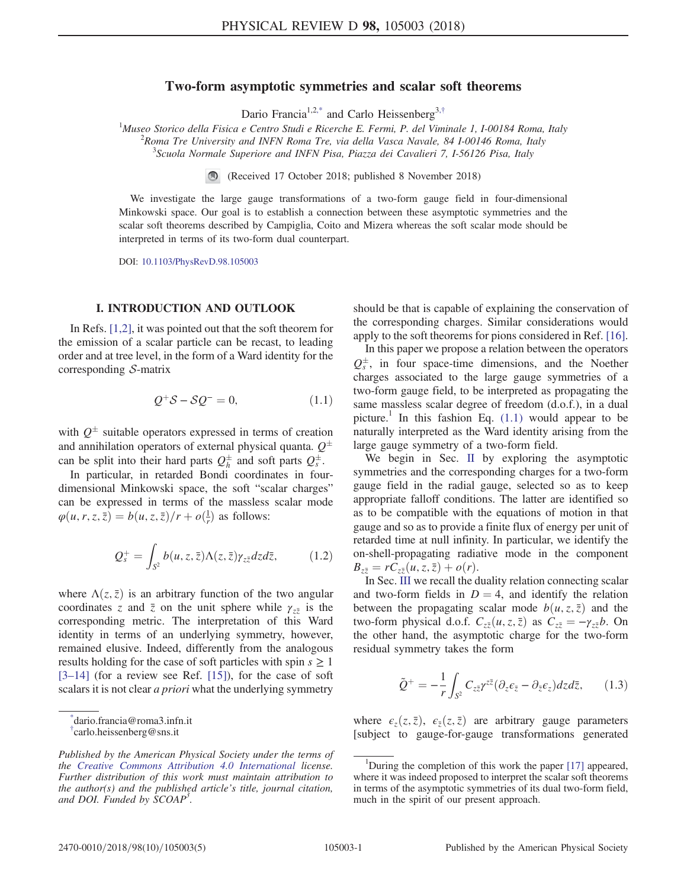# Two-form asymptotic symmetries and scalar soft theorems

Dario Francia<sup>1,[2,\\*](#page-0-0)</sup> and Carlo Heissenberg<sup>3,[†](#page-0-1)</sup>

<span id="page-0-3"></span><sup>1</sup>Museo Storico della Fisica e Centro Studi e Ricerche E. Fermi, P. del Viminale 1, I-00184 Roma, Italy <sup>2</sup> Roma Tre University and INFN Roma Tre, via della Vasca Navale, 84 I-00146 Roma, Italy <sup>3</sup> Scuola Normale Superiore and INFN Pisa, Piazza dei Cavalieri 7, I-56126 Pisa, Italy

(Received 17 October 2018; published 8 November 2018)

We investigate the large gauge transformations of a two-form gauge field in four-dimensional Minkowski space. Our goal is to establish a connection between these asymptotic symmetries and the scalar soft theorems described by Campiglia, Coito and Mizera whereas the soft scalar mode should be interpreted in terms of its two-form dual counterpart.

DOI: [10.1103/PhysRevD.98.105003](https://doi.org/10.1103/PhysRevD.98.105003)

# I. INTRODUCTION AND OUTLOOK

<span id="page-0-2"></span>In Refs. [\[1,2\]](#page-4-0), it was pointed out that the soft theorem for the emission of a scalar particle can be recast, to leading order and at tree level, in the form of a Ward identity for the corresponding  $S$ -matrix

$$
Q^+S - SQ^- = 0,\tag{1.1}
$$

with  $Q^{\pm}$  suitable operators expressed in terms of creation and annihilation operators of external physical quanta.  $Q^{\pm}$ can be split into their hard parts  $Q_h^{\pm}$  and soft parts  $Q_s^{\pm}$ .

In particular, in retarded Bondi coordinates in fourdimensional Minkowski space, the soft "scalar charges" can be expressed in terms of the massless scalar mode  $\varphi(u, r, z, \bar{z}) = b(u, z, \bar{z})/r + o(\frac{1}{r})$  as follows:

$$
Q_s^+ = \int_{S^2} b(u, z, \bar{z}) \Lambda(z, \bar{z}) \gamma_{z\bar{z}} dz d\bar{z}, \qquad (1.2)
$$

where  $\Lambda(z,\bar{z})$  is an arbitrary function of the two angular coordinates z and  $\bar{z}$  on the unit sphere while  $\gamma_{z\bar{z}}$  is the corresponding metric. The interpretation of this Ward identity in terms of an underlying symmetry, however, remained elusive. Indeed, differently from the analogous results holding for the case of soft particles with spin  $s \geq 1$  $[3-14]$  $[3-14]$  (for a review see Ref.  $[15]$ ), for the case of soft scalars it is not clear *a priori* what the underlying symmetry

<span id="page-0-0"></span>[\\*](#page-0-3) dario.francia@roma3.infn.it

should be that is capable of explaining the conservation of the corresponding charges. Similar considerations would apply to the soft theorems for pions considered in Ref. [\[16\]](#page-4-3).

In this paper we propose a relation between the operators  $Q_s^{\pm}$ , in four space-time dimensions, and the Noether charges associated to the large gauge symmetries of a two-form gauge field, to be interpreted as propagating the same massless scalar degree of freedom (d.o.f.), in a dual picture.<sup>1</sup> In this fashion Eq.  $(1.1)$  would appear to be naturally interpreted as the Ward identity arising from the large gauge symmetry of a two-form field.

We begin in Sec. [II](#page-1-0) by exploring the asymptotic symmetries and the corresponding charges for a two-form gauge field in the radial gauge, selected so as to keep appropriate falloff conditions. The latter are identified so as to be compatible with the equations of motion in that gauge and so as to provide a finite flux of energy per unit of retarded time at null infinity. In particular, we identify the on-shell-propagating radiative mode in the component  $B_{z\bar{z}} = rC_{z\bar{z}}(u, z, \bar{z}) + o(r).$ 

In Sec. [III](#page-2-0) we recall the duality relation connecting scalar and two-form fields in  $D = 4$ , and identify the relation between the propagating scalar mode  $b(u, z, \bar{z})$  and the two-form physical d.o.f.  $C_{z\bar{z}}(u, z, \bar{z})$  as  $C_{z\bar{z}} = -\gamma_{z\bar{z}}b$ . On the other hand, the asymptotic charge for the two-form residual symmetry takes the form

$$
\tilde{Q}^+ = -\frac{1}{r} \int_{S^2} C_{z\bar{z}} \gamma^{z\bar{z}} (\partial_z \epsilon_{\bar{z}} - \partial_{\bar{z}} \epsilon_z) dz d\bar{z}, \qquad (1.3)
$$

where  $\epsilon_z(z,\bar{z})$ ,  $\epsilon_{\bar{z}}(z,\bar{z})$  are arbitrary gauge parameters [subject to gauge-for-gauge transformations generated

<span id="page-0-1"></span>[<sup>†</sup>](#page-0-3) carlo.heissenberg@sns.it

Published by the American Physical Society under the terms of the [Creative Commons Attribution 4.0 International](https://creativecommons.org/licenses/by/4.0/) license. Further distribution of this work must maintain attribution to the author(s) and the published article's title, journal citation, and DOI. Funded by SCOAP<sup>3</sup>.

<sup>&</sup>lt;sup>1</sup>During the completion of this work the paper [\[17\]](#page-4-4) appeared, where it was indeed proposed to interpret the scalar soft theorems in terms of the asymptotic symmetries of its dual two-form field, much in the spirit of our present approach.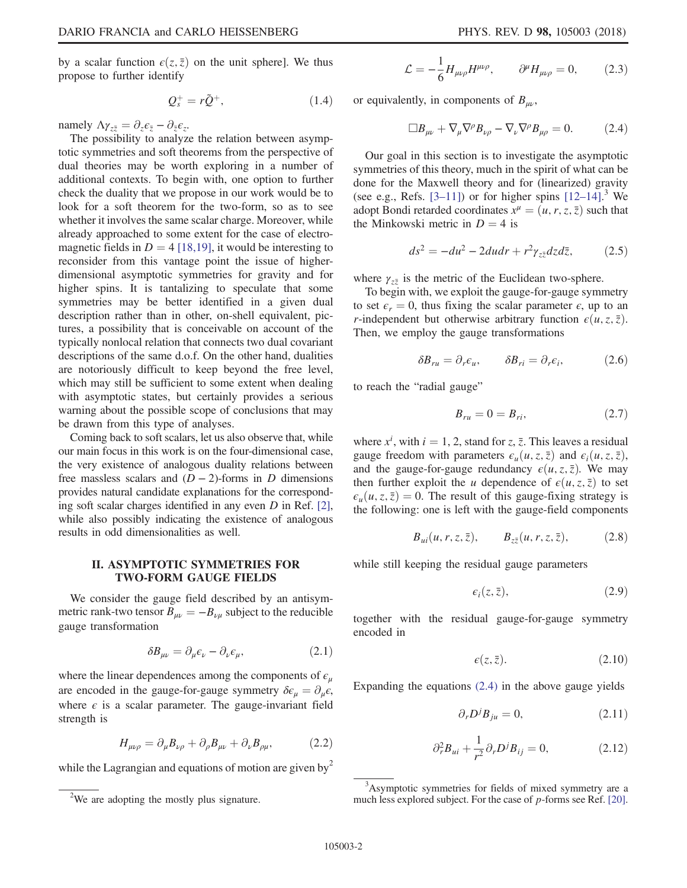by a scalar function  $\epsilon(z, \bar{z})$  on the unit sphere]. We thus propose to further identify

$$
Q_s^+ = r\tilde{Q}^+, \tag{1.4}
$$

namely  $\Delta \gamma_{z\bar{z}} = \partial_z \epsilon_{\bar{z}} - \partial_{\bar{z}} \epsilon_z$ .

The possibility to analyze the relation between asymptotic symmetries and soft theorems from the perspective of dual theories may be worth exploring in a number of additional contexts. To begin with, one option to further check the duality that we propose in our work would be to look for a soft theorem for the two-form, so as to see whether it involves the same scalar charge. Moreover, while already approached to some extent for the case of electromagnetic fields in  $D = 4$  [\[18,19\],](#page-4-5) it would be interesting to reconsider from this vantage point the issue of higherdimensional asymptotic symmetries for gravity and for higher spins. It is tantalizing to speculate that some symmetries may be better identified in a given dual description rather than in other, on-shell equivalent, pictures, a possibility that is conceivable on account of the typically nonlocal relation that connects two dual covariant descriptions of the same d.o.f. On the other hand, dualities are notoriously difficult to keep beyond the free level, which may still be sufficient to some extent when dealing with asymptotic states, but certainly provides a serious warning about the possible scope of conclusions that may be drawn from this type of analyses.

Coming back to soft scalars, let us also observe that, while our main focus in this work is on the four-dimensional case, the very existence of analogous duality relations between free massless scalars and  $(D-2)$ -forms in D dimensions provides natural candidate explanations for the corresponding soft scalar charges identified in any even  $D$  in Ref. [\[2\]](#page-4-6), while also possibly indicating the existence of analogous results in odd dimensionalities as well.

## <span id="page-1-0"></span>II. ASYMPTOTIC SYMMETRIES FOR TWO-FORM GAUGE FIELDS

We consider the gauge field described by an antisymmetric rank-two tensor  $B_{\mu\nu} = -B_{\nu\mu}$  subject to the reducible gauge transformation

$$
\delta B_{\mu\nu} = \partial_{\mu}\epsilon_{\nu} - \partial_{\nu}\epsilon_{\mu},\tag{2.1}
$$

where the linear dependences among the components of  $\epsilon_{\mu}$ are encoded in the gauge-for-gauge symmetry  $\delta \epsilon_{\mu} = \partial_{\mu} \epsilon$ , where  $\epsilon$  is a scalar parameter. The gauge-invariant field strength is

$$
H_{\mu\nu\rho} = \partial_{\mu}B_{\nu\rho} + \partial_{\rho}B_{\mu\nu} + \partial_{\nu}B_{\rho\mu}, \qquad (2.2)
$$

while the Lagrangian and equations of motion are given by  $2^2$ 

$$
\mathcal{L} = -\frac{1}{6} H_{\mu\nu\rho} H^{\mu\nu\rho}, \qquad \partial^{\mu} H_{\mu\nu\rho} = 0, \qquad (2.3)
$$

<span id="page-1-1"></span>or equivalently, in components of  $B_{\mu\nu}$ ,

$$
\Box B_{\mu\nu} + \nabla_{\mu}\nabla^{\rho}B_{\nu\rho} - \nabla_{\nu}\nabla^{\rho}B_{\mu\rho} = 0. \qquad (2.4)
$$

Our goal in this section is to investigate the asymptotic symmetries of this theory, much in the spirit of what can be done for the Maxwell theory and for (linearized) gravity (see e.g., Refs.  $[3-11]$ ) or for higher spins  $[12-14]$  $[12-14]$ .<sup>3</sup> We adopt Bondi retarded coordinates  $x^{\mu} = (u, r, z, \overline{z})$  such that the Minkowski metric in  $D = 4$  is

$$
ds^2 = -du^2 - 2dudr + r^2\gamma_{z\bar{z}}dzd\bar{z},\qquad(2.5)
$$

where  $\gamma_{z\bar{z}}$  is the metric of the Euclidean two-sphere.

To begin with, we exploit the gauge-for-gauge symmetry to set  $\epsilon_r = 0$ , thus fixing the scalar parameter  $\epsilon$ , up to an *r*-independent but otherwise arbitrary function  $\epsilon(u, z, \bar{z})$ . Then, we employ the gauge transformations

$$
\delta B_{ru} = \partial_r \epsilon_u, \qquad \delta B_{ri} = \partial_r \epsilon_i, \qquad (2.6)
$$

to reach the "radial gauge"

$$
B_{ru} = 0 = B_{ri},\tag{2.7}
$$

where  $x^i$ , with  $i = 1, 2$ , stand for z, z. This leaves a residual gauge freedom with parameters  $\epsilon_u(u, z, \bar{z})$  and  $\epsilon_i(u, z, \bar{z})$ , and the gauge-for-gauge redundancy  $\epsilon(u, z, \bar{z})$ . We may then further exploit the u dependence of  $\epsilon(u, z, \bar{z})$  to set  $\epsilon_u(u, z, \bar{z}) = 0$ . The result of this gauge-fixing strategy is the following: one is left with the gauge-field components

$$
B_{ui}(u, r, z, \bar{z}), \qquad B_{z\bar{z}}(u, r, z, \bar{z}), \qquad (2.8)
$$

<span id="page-1-2"></span>while still keeping the residual gauge parameters

$$
\epsilon_i(z,\bar{z}),\tag{2.9}
$$

together with the residual gauge-for-gauge symmetry encoded in

$$
\epsilon(z,\bar{z}).\tag{2.10}
$$

Expanding the equations [\(2.4\)](#page-1-1) in the above gauge yields

$$
\partial_r D^j B_{j\mu} = 0,\tag{2.11}
$$

$$
\partial_r^2 B_{ui} + \frac{1}{r^2} \partial_r D^j B_{ij} = 0, \qquad (2.12)
$$

<sup>3</sup>Asymptotic symmetries for fields of mixed symmetry are a much less explored subject. For the case of p-forms see Ref. [\[20\].](#page-4-8)

<sup>&</sup>lt;sup>2</sup>We are adopting the mostly plus signature.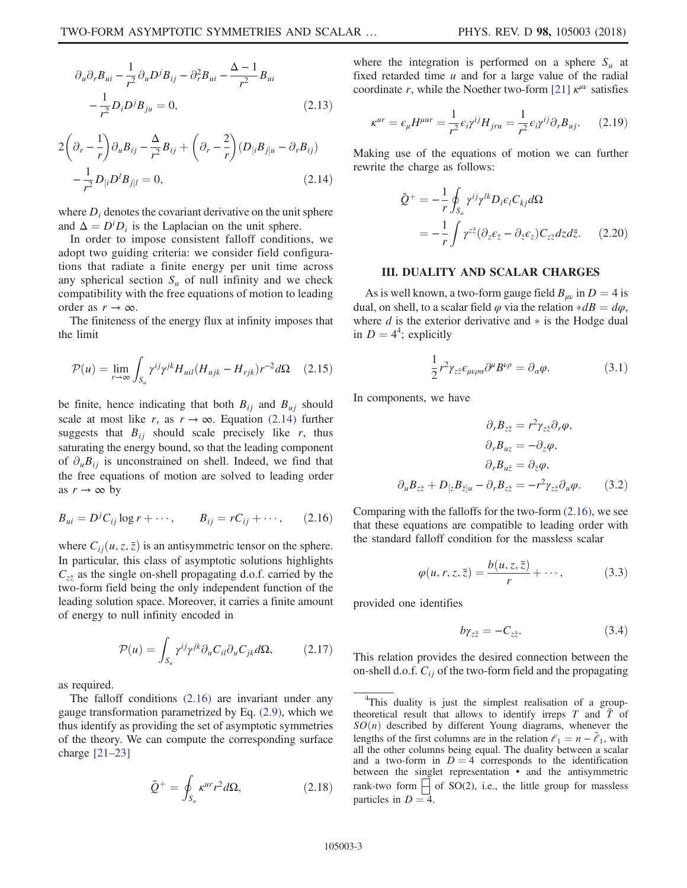$$
\partial_u \partial_r B_{ui} - \frac{1}{r^2} \partial_u D^j B_{ij} - \partial_r^2 B_{ui} - \frac{\Delta - 1}{r^2} B_{ui}
$$

$$
-\frac{1}{r^2} D_i D^j B_{ju} = 0,
$$
(2.13)

<span id="page-2-1"></span>
$$
2\left(\partial_r - \frac{1}{r}\right)\partial_u B_{ij} - \frac{\Delta}{r^2} B_{ij} + \left(\partial_r - \frac{2}{r}\right) \left(D_{[i} B_{j]u} - \partial_r B_{ij}\right)
$$

$$
-\frac{1}{r^2} D_{[i} D^l B_{j]l} = 0,
$$
(2.14)

where  $D_i$  denotes the covariant derivative on the unit sphere and  $\Delta = D^i D_i$  is the Laplacian on the unit sphere.

In order to impose consistent falloff conditions, we adopt two guiding criteria: we consider field configurations that radiate a finite energy per unit time across any spherical section  $S_u$  of null infinity and we check compatibility with the free equations of motion to leading order as  $r \to \infty$ .

The finiteness of the energy flux at infinity imposes that the limit

$$
\mathcal{P}(u) = \lim_{r \to \infty} \int_{S_u} \gamma^{ij} \gamma^{jk} H_{uil} (H_{ujk} - H_{rjk}) r^{-2} d\Omega \quad (2.15)
$$

be finite, hence indicating that both  $B_{ij}$  and  $B_{uj}$  should scale at most like r, as  $r \to \infty$ . Equation [\(2.14\)](#page-2-1) further suggests that  $B_{ij}$  should scale precisely like r, thus saturating the energy bound, so that the leading component of  $\partial_{\mu}B_{ij}$  is unconstrained on shell. Indeed, we find that the free equations of motion are solved to leading order as  $r \to \infty$  by

<span id="page-2-2"></span>
$$
B_{ui} = D^j C_{ij} \log r + \cdots, \qquad B_{ij} = r C_{ij} + \cdots, \qquad (2.16)
$$

where  $C_{ii}(u, z, \bar{z})$  is an antisymmetric tensor on the sphere. In particular, this class of asymptotic solutions highlights  $C_{z\bar{z}}$  as the single on-shell propagating d.o.f. carried by the two-form field being the only independent function of the leading solution space. Moreover, it carries a finite amount of energy to null infinity encoded in

$$
\mathcal{P}(u) = \int_{S_u} \gamma^{ij} \gamma^{jk} \partial_u C_{il} \partial_u C_{jk} d\Omega, \qquad (2.17)
$$

as required.

The falloff conditions [\(2.16\)](#page-2-2) are invariant under any gauge transformation parametrized by Eq. [\(2.9\),](#page-1-2) which we thus identify as providing the set of asymptotic symmetries of the theory. We can compute the corresponding surface charge [\[21](#page-4-9)–23]

$$
\tilde{Q}^{+} = \oint_{S_u} \kappa^{ur} r^2 d\Omega, \qquad (2.18)
$$

where the integration is performed on a sphere  $S_u$  at fixed retarded time  $u$  and for a large value of the radial coordinate r, while the Noether two-form [\[21\]](#page-4-9)  $\kappa^{\mu\nu}$  satisfies

$$
\kappa^{ur} = \epsilon_{\mu} H^{\mu ur} = \frac{1}{r^2} \epsilon_i \gamma^{ij} H_{jru} = \frac{1}{r^2} \epsilon_i \gamma^{ij} \partial_r B_{uj}. \tag{2.19}
$$

<span id="page-2-4"></span>Making use of the equations of motion we can further rewrite the charge as follows:

$$
\tilde{Q}^{+} = -\frac{1}{r} \oint_{S_u} \gamma^{ij} \gamma^{lk} D_i \epsilon_l C_{kj} d\Omega
$$

$$
= -\frac{1}{r} \int \gamma^{z\bar{z}} (\partial_z \epsilon_{\bar{z}} - \partial_{\bar{z}} \epsilon_z) C_{z\bar{z}} dz d\bar{z}.
$$
 (2.20)

## III. DUALITY AND SCALAR CHARGES

<span id="page-2-0"></span>As is well known, a two-form gauge field  $B_{\mu\nu}$  in  $D = 4$  is dual, on shell, to a scalar field  $\varphi$  via the relation  $*dB = d\varphi$ , where  $d$  is the exterior derivative and  $*$  is the Hodge dual in  $D = 4^4$ ; explicitly

$$
\frac{1}{2}r^2\gamma_{z\bar{z}}\epsilon_{\mu\nu\rho\alpha}\partial^{\mu}B^{\nu\rho} = \partial_{\alpha}\varphi.
$$
 (3.1)

In components, we have

$$
\partial_r B_{z\bar{z}} = r^2 \gamma_{z\bar{z}} \partial_r \varphi,
$$
  
\n
$$
\partial_r B_{uz} = -\partial_z \varphi,
$$
  
\n
$$
\partial_r B_{u\bar{z}} = \partial_{\bar{z}} \varphi,
$$
  
\n
$$
\partial_u B_{z\bar{z}} + D_{[z} B_{\bar{z}]u} - \partial_r B_{z\bar{z}} = -r^2 \gamma_{z\bar{z}} \partial_u \varphi.
$$
 (3.2)

Comparing with the falloffs for the two-form [\(2.16\)](#page-2-2), we see that these equations are compatible to leading order with the standard falloff condition for the massless scalar

$$
\varphi(u,r,z,\bar{z}) = \frac{b(u,z,\bar{z})}{r} + \cdots, \qquad (3.3)
$$

<span id="page-2-3"></span>provided one identifies

$$
b\gamma_{z\bar{z}} = -C_{z\bar{z}}.\tag{3.4}
$$

This relation provides the desired connection between the on-shell d.o.f.  $C_{ij}$  of the two-form field and the propagating

<sup>&</sup>lt;sup>4</sup>This duality is just the simplest realisation of a grouptheoretical result that allows to identify irreps  $T$  and  $\tilde{T}$  of  $SO(n)$  described by different Young diagrams, whenever the lengths of the first columns are in the relation  $\ell_1 = n - \tilde{\ell}_1$ , with all the other columns being equal. The duality between a scalar and a two-form in  $D = 4$  corresponds to the identification between the singlet representation • and the antisymmetric rank-two form  $\left|\right|$  of SO(2), i.e., the little group for massless particles in  $D = 4$ .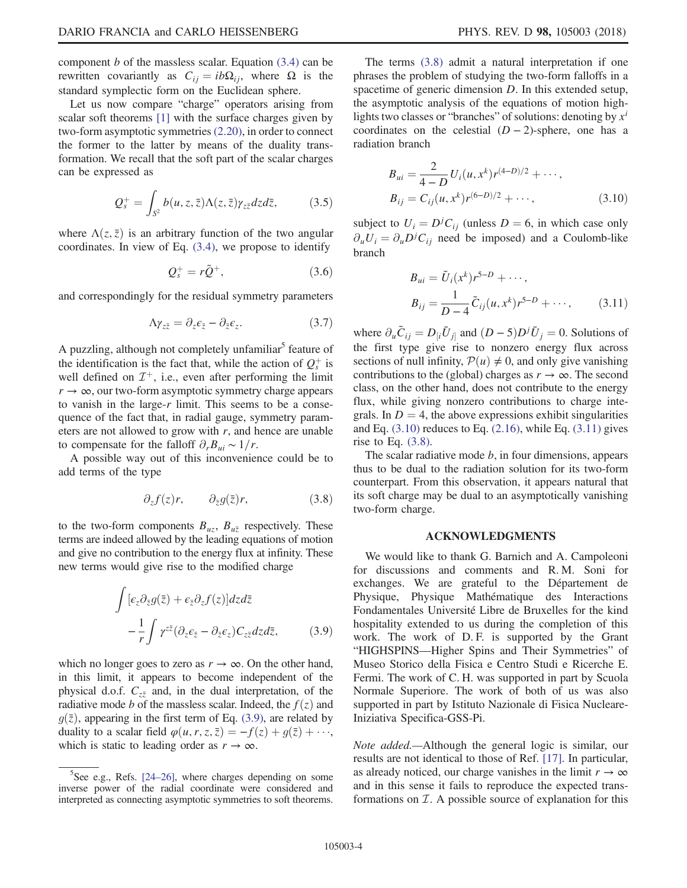component  $b$  of the massless scalar. Equation  $(3.4)$  can be rewritten covariantly as  $C_{ij} = ib\Omega_{ij}$ , where  $\Omega$  is the standard symplectic form on the Euclidean sphere.

Let us now compare "charge" operators arising from scalar soft theorems [\[1\]](#page-4-0) with the surface charges given by two-form asymptotic symmetries [\(2.20\),](#page-2-4) in order to connect the former to the latter by means of the duality transformation. We recall that the soft part of the scalar charges can be expressed as

$$
Q_s^+ = \int_{S^2} b(u, z, \bar{z}) \Lambda(z, \bar{z}) \gamma_{z\bar{z}} dz d\bar{z}, \qquad (3.5)
$$

where  $\Lambda(z, \bar{z})$  is an arbitrary function of the two angular coordinates. In view of Eq. [\(3.4\),](#page-2-3) we propose to identify

$$
Q_s^+ = r\tilde{Q}^+, \tag{3.6}
$$

and correspondingly for the residual symmetry parameters

$$
\Lambda \gamma_{z\bar{z}} = \partial_z \epsilon_{\bar{z}} - \partial_{\bar{z}} \epsilon_z. \tag{3.7}
$$

A puzzling, although not completely unfamiliar<sup>5</sup> feature of the identification is the fact that, while the action of  $Q_s^+$  is well defined on  $\mathcal{I}^+$ , i.e., even after performing the limit  $r \to \infty$ , our two-form asymptotic symmetry charge appears to vanish in the large- $r$  limit. This seems to be a consequence of the fact that, in radial gauge, symmetry parameters are not allowed to grow with  $r$ , and hence are unable to compensate for the falloff  $\partial_r B_{ui} \sim 1/r$ .

<span id="page-3-1"></span>A possible way out of this inconvenience could be to add terms of the type

$$
\partial_z f(z)r, \qquad \partial_{\bar{z}} g(\bar{z})r, \tag{3.8}
$$

<span id="page-3-0"></span>to the two-form components  $B_{uz}$ ,  $B_{u\bar{z}}$  respectively. These terms are indeed allowed by the leading equations of motion and give no contribution to the energy flux at infinity. These new terms would give rise to the modified charge

$$
\int [\varepsilon_z \partial_{\bar{z}} g(\bar{z}) + \varepsilon_{\bar{z}} \partial_z f(z)] dz d\bar{z} \n- \frac{1}{r} \int \gamma^{z\bar{z}} (\partial_z \varepsilon_{\bar{z}} - \partial_{\bar{z}} \varepsilon_z) C_{z\bar{z}} dz d\bar{z},
$$
\n(3.9)

which no longer goes to zero as  $r \to \infty$ . On the other hand, in this limit, it appears to become independent of the physical d.o.f.  $C_{z\bar{z}}$  and, in the dual interpretation, of the radiative mode b of the massless scalar. Indeed, the  $f(z)$  and  $g(\bar{z})$ , appearing in the first term of Eq. [\(3.9\),](#page-3-0) are related by duality to a scalar field  $\varphi(u, r, z, \bar{z}) = -f(z) + g(\bar{z}) + \cdots$ , which is static to leading order as  $r \to \infty$ .

The terms [\(3.8\)](#page-3-1) admit a natural interpretation if one phrases the problem of studying the two-form falloffs in a spacetime of generic dimension D. In this extended setup, the asymptotic analysis of the equations of motion highlights two classes or "branches" of solutions: denoting by  $x^i$ coordinates on the celestial  $(D-2)$ -sphere, one has a radiation branch

<span id="page-3-2"></span>
$$
B_{ui} = \frac{2}{4 - D} U_i(u, x^k) r^{(4-D)/2} + \cdots,
$$
  
\n
$$
B_{ij} = C_{ij}(u, x^k) r^{(6-D)/2} + \cdots,
$$
\n(3.10)

<span id="page-3-3"></span>subject to  $U_i = D^j C_{ij}$  (unless  $D = 6$ , in which case only  $\partial_u U_i = \partial_u D^j C_{ij}$  need be imposed) and a Coulomb-like branch

$$
B_{ui} = \tilde{U}_i(x^k) r^{5-D} + \cdots,
$$
  
\n
$$
B_{ij} = \frac{1}{D-4} \tilde{C}_{ij}(u, x^k) r^{5-D} + \cdots,
$$
 (3.11)

where  $\partial_u \tilde{C}_{ij} = D_{[i} \tilde{U}_{j]}$  and  $(D-5)D^j \tilde{U}_j = 0$ . Solutions of the first type give rise to nonzero energy flux across sections of null infinity,  $\mathcal{P}(u) \neq 0$ , and only give vanishing contributions to the (global) charges as  $r \to \infty$ . The second class, on the other hand, does not contribute to the energy flux, while giving nonzero contributions to charge integrals. In  $D = 4$ , the above expressions exhibit singularities and Eq.  $(3.10)$  reduces to Eq.  $(2.16)$ , while Eq.  $(3.11)$  gives rise to Eq.  $(3.8)$ .

The scalar radiative mode  $b$ , in four dimensions, appears thus to be dual to the radiation solution for its two-form counterpart. From this observation, it appears natural that its soft charge may be dual to an asymptotically vanishing two-form charge.

## ACKNOWLEDGMENTS

We would like to thank G. Barnich and A. Campoleoni for discussions and comments and R. M. Soni for exchanges. We are grateful to the Département de Physique, Physique Mathématique des Interactions Fondamentales Université Libre de Bruxelles for the kind hospitality extended to us during the completion of this work. The work of D. F. is supported by the Grant "HIGHSPINS—Higher Spins and Their Symmetries" of Museo Storico della Fisica e Centro Studi e Ricerche E. Fermi. The work of C. H. was supported in part by Scuola Normale Superiore. The work of both of us was also supported in part by Istituto Nazionale di Fisica Nucleare-Iniziativa Specifica-GSS-Pi.

Note added.—Although the general logic is similar, our results are not identical to those of Ref. [\[17\].](#page-4-4) In particular, as already noticed, our charge vanishes in the limit  $r \to \infty$ and in this sense it fails to reproduce the expected transformations on  $I$ . A possible source of explanation for this

 $5$ See e.g., Refs. [24–[26\],](#page-4-10) where charges depending on some inverse power of the radial coordinate were considered and interpreted as connecting asymptotic symmetries to soft theorems.